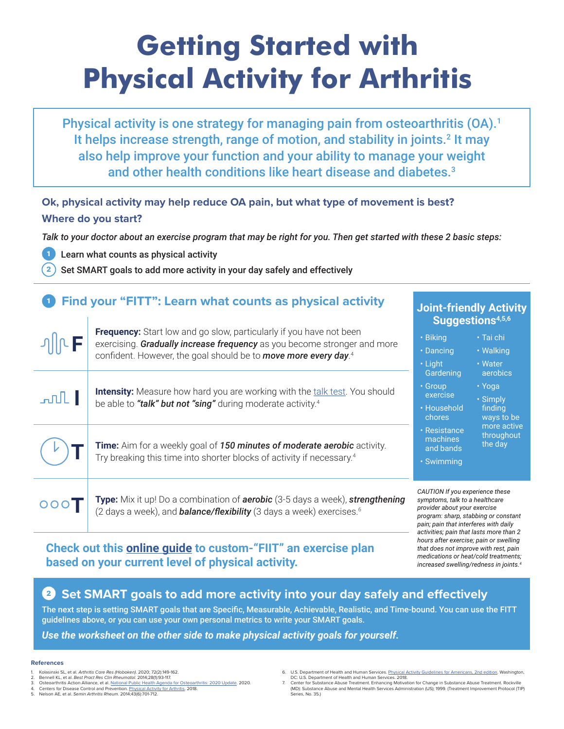# **Getting Started with Physical Activity for Arthritis**

Physical activity is one strategy for managing pain from osteoarthritis (OA).<sup>1</sup> It helps increase strength, range of motion, and stability in joints.<sup>2</sup> It may also help improve your function and your ability to manage your weight and other health conditions like heart disease and diabetes.<sup>3</sup>

### **Ok, physical activity may help reduce OA pain, but what type of movement is best? Where do you start?**

*Talk to your doctor about an exercise program that may be right for you. Then get started with these 2 basic steps:* 

1 Learn what counts as physical activity

Set SMART goals to add more activity in your day safely and effectively

# **1** Find your "FITT": Learn what counts as physical activity

| <b>JIICF</b> | <b>Frequency:</b> Start low and go slow, particularly if you have not been<br>exercising. Gradually increase frequency as you become stronger and more<br>confident. However, the goal should be to move more every day. <sup>4</sup> | Suggestions <sup>4,5,61</sup>                                                                                                                                                      |                                                                                                 |
|--------------|---------------------------------------------------------------------------------------------------------------------------------------------------------------------------------------------------------------------------------------|------------------------------------------------------------------------------------------------------------------------------------------------------------------------------------|-------------------------------------------------------------------------------------------------|
|              |                                                                                                                                                                                                                                       | • Biking<br>• Dancing<br>• Light                                                                                                                                                   | $\cdot$ Tai chi<br>• Walking<br>• Water                                                         |
| $\mathbb{L}$ | <b>Intensity:</b> Measure how hard you are working with the talk test. You should<br>be able to "talk" but not "sing" during moderate activity. <sup>4</sup>                                                                          | Gardening<br>• Group<br>exercise<br>· Household<br>chores<br>• Resistance<br>machines<br>and bands<br>• Swimming                                                                   | aerobics<br>• Yoga<br>• Simply<br>finding<br>ways to be<br>more active<br>throughout<br>the day |
|              | Time: Aim for a weekly goal of 150 minutes of moderate aerobic activity.<br>Try breaking this time into shorter blocks of activity if necessary. <sup>4</sup>                                                                         |                                                                                                                                                                                    |                                                                                                 |
| 000          | Type: Mix it up! Do a combination of aerobic (3-5 days a week), strengthening<br>(2 days a week), and <b>balance/flexibility</b> (3 days a week) exercises. <sup>6</sup>                                                              | CAUTION If you experience these<br>symptoms, talk to a healthcare<br>provider about your exercise<br>program: sharp, stabbing or constant<br>pain: pain that interferes with daily |                                                                                                 |

## **Check out this [online guide](https://oaaction.unc.edu/wp-content/uploads/sites/623/2021/04/Exercise-plan-based-on-activity-level.pdf) to custom-"FIIT" an exercise plan based on your current level of physical activity.**

# **Set SMART goals to add more activity into your day safely and effectively**

The next step is setting SMART goals that are Specific, Measurable, Achievable, Realistic, and Time-bound. You can use the FITT guidelines above, or you can use your own personal metrics to write your SMART goals.

### *Use the worksheet on the other side to make physical activity goals for yourself.*

#### **References**

2

 $\overline{2}$ 

- 1. Kolasinski SL, et al. *Arthritis Care Res (Hoboken)*. 2020; 72(2):149-162.
- 2. Bennell KL, et al. *Best Pract Res Clin Rheumatol*. 2014;28(1):93-117. 3. Osteoarthritis Action Alliance, et al. [National Public Health Agenda for Osteoarthritis: 2020 Update.](https://oaaction.unc.edu/wp-content/uploads/sites/623/2020/05/OA-Agenda-Final_04302020.pdf) 2020.
- Centers for Disease Control and Prevention. [Physical Activity for Arthritis.](http://www.cdc.gov/arthritis/basics/physical-activity-overview.html) 2018.
- 5. Nelson AE, et al. *Semin Arthritis Rheum*. 2014;43(6):701-712.

6. U.S. Department of Health and Human Services. <u>[Physical Activity Guidelines for Americans, 2nd edition](https://health.gov/paguidelines/second-edition/pdf/Physical_Activity_Guidelines_2nd_edition.pdf)</u>, Washington,<br> DC: U.S. Department of Health and Human Services. 2018.<br>7. Center for Substance Abuse

*activities; pain that lasts more than 2 hours after exercise; pain or swelling that does not improve with rest, pain medications or heat/cold treatments; increased swelling/redness in joints.4*

**Joint-friendly Activity** 

(MD): Substance Abuse and Mental Health Services Administration (US); 1999. (Treatment Improvement Protocol (TIP) Series, No. 35.)